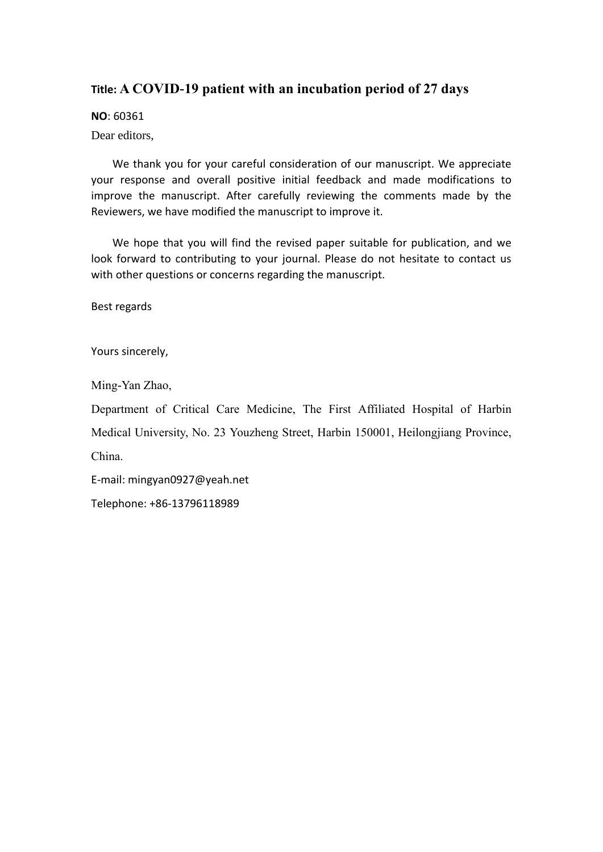## **Title: A COVID-19 patient with an incubation period of 27 days**

**NO**: 60361

Dear editors,

We thank you for your careful consideration of our manuscript. We appreciate your response and overall positive initial feedback and made modifications to improve the manuscript. After carefully reviewing the comments made by the Reviewers, we have modified the manuscript to improve it.

We hope that you will find the revised paper suitable for publication, and we look forward to contributing to your journal. Please do not hesitate to contact us with other questions or concerns regarding the manuscript.

Best regards

Yours sincerely,

Ming-Yan Zhao,

Department of Critical Care Medicine, The First Affiliated Hospital of Harbin

Medical University, No. 23 Youzheng Street, Harbin 150001, Heilongjiang Province,

China.

E-mail: mingyan0927@yeah.net

Telephone: +86-13796118989